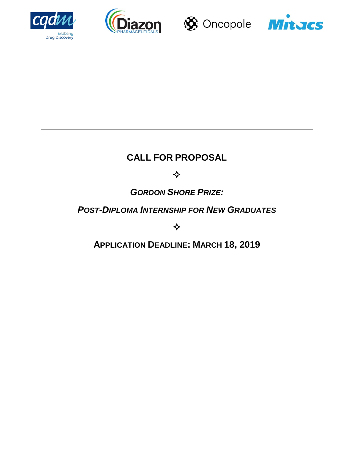







# **CALL FOR PROPOSAL**

❖

# *GORDON SHORE PRIZE:*

# *POST-DIPLOMA INTERNSHIP FOR NEW GRADUATES*

❖

**APPLICATION DEADLINE: MARCH 18, 2019**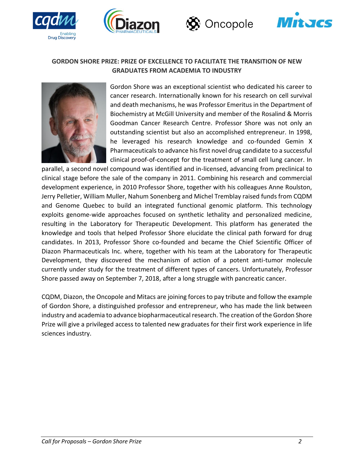





## **GORDON SHORE PRIZE: PRIZE OF EXCELLENCE TO FACILITATE THE TRANSITION OF NEW GRADUATES FROM ACADEMIA TO INDUSTRY**



Drug Discovery

Gordon Shore was an exceptional scientist who dedicated his career to cancer research. Internationally known for his research on cell survival and death mechanisms, he was Professor Emeritus in the Department of Biochemistry at McGill University and member of the Rosalind & Morris Goodman Cancer Research Centre. Professor Shore was not only an outstanding scientist but also an accomplished entrepreneur. In 1998, he leveraged his research knowledge and co-founded Gemin X Pharmaceuticals to advance his first novel drug candidate to a successful clinical proof-of-concept for the treatment of small cell lung cancer. In

parallel, a second novel compound was identified and in-licensed, advancing from preclinical to clinical stage before the sale of the company in 2011. Combining his research and commercial development experience, in 2010 Professor Shore, together with his colleagues Anne Roulston, Jerry Pelletier, William Muller, Nahum Sonenberg and Michel Tremblay raised funds from CQDM and Genome Quebec to build an integrated functional genomic platform. This technology exploits genome-wide approaches focused on synthetic lethality and personalized medicine, resulting in the Laboratory for Therapeutic Development. This platform has generated the knowledge and tools that helped Professor Shore elucidate the clinical path forward for drug candidates. In 2013, Professor Shore co-founded and became the Chief Scientific Officer of Diazon Pharmaceuticals Inc. where, together with his team at the Laboratory for Therapeutic Development, they discovered the mechanism of action of a potent anti-tumor molecule currently under study for the treatment of different types of cancers. Unfortunately, Professor Shore passed away on September 7, 2018, after a long struggle with pancreatic cancer.

CQDM, Diazon, the Oncopole and Mitacs are joining forces to pay tribute and follow the example of Gordon Shore, a distinguished professor and entrepreneur, who has made the link between industry and academia to advance biopharmaceutical research. The creation of the Gordon Shore Prize will give a privileged access to talented new graduates for their first work experience in life sciences industry.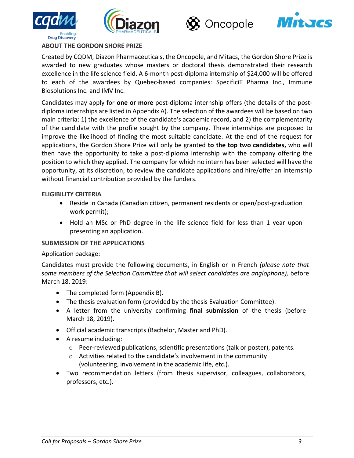





#### **ABOUT THE GORDON SHORE PRIZE**

**Drug Discovery** 

Created by CQDM, Diazon Pharmaceuticals, the Oncopole, and Mitacs, the Gordon Shore Prize is awarded to new graduates whose masters or doctoral thesis demonstrated their research excellence in the life science field. A 6-month post-diploma internship of \$24,000 will be offered to each of the awardees by Quebec-based companies: SpecificiT Pharma Inc., Immune Biosolutions Inc. and IMV Inc.

Candidates may apply for **one or more** post-diploma internship offers (the details of the postdiploma internships are listed in Appendix A). The selection of the awardees will be based on two main criteria: 1) the excellence of the candidate's academic record, and 2) the complementarity of the candidate with the profile sought by the company. Three internships are proposed to improve the likelihood of finding the most suitable candidate. At the end of the request for applications, the Gordon Shore Prize will only be granted **to the top two candidates,** who will then have the opportunity to take a post-diploma internship with the company offering the position to which they applied. The company for which no intern has been selected will have the opportunity, at its discretion, to review the candidate applications and hire/offer an internship without financial contribution provided by the funders.

#### **ELIGIBILITY CRITERIA**

- Reside in Canada (Canadian citizen, permanent residents or open/post-graduation work permit);
- Hold an MSc or PhD degree in the life science field for less than 1 year upon presenting an application.

#### **SUBMISSION OF THE APPLICATIONS**

#### Application package:

Candidates must provide the following documents, in English or in French *(please note that some members of the Selection Committee that will select candidates are anglophone),* before March 18, 2019:

- The completed form (Appendix B).
- The thesis evaluation form (provided by the thesis Evaluation Committee).
- A letter from the university confirming **final submission** of the thesis (before March 18, 2019).
- Official academic transcripts (Bachelor, Master and PhD).
- A resume including:
	- $\circ$  Peer-reviewed publications, scientific presentations (talk or poster), patents.
	- o Activities related to the candidate's involvement in the community (volunteering, involvement in the academic life, etc.).
- Two recommendation letters (from thesis supervisor, colleagues, collaborators, professors, etc.).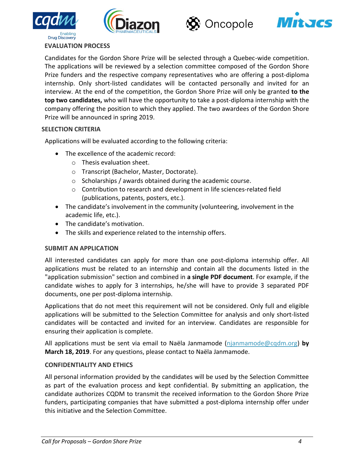





### **EVALUATION PROCESS**

**Drug Discovery** 

Candidates for the Gordon Shore Prize will be selected through a Quebec-wide competition. The applications will be reviewed by a selection committee composed of the Gordon Shore Prize funders and the respective company representatives who are offering a post-diploma internship. Only short-listed candidates will be contacted personally and invited for an interview. At the end of the competition, the Gordon Shore Prize will only be granted **to the top two candidates,** who will have the opportunity to take a post-diploma internship with the company offering the position to which they applied. The two awardees of the Gordon Shore Prize will be announced in spring 2019.

#### **SELECTION CRITERIA**

Applications will be evaluated according to the following criteria:

- The excellence of the academic record:
	- o Thesis evaluation sheet.
	- o Transcript (Bachelor, Master, Doctorate).
	- $\circ$  Scholarships / awards obtained during the academic course.
	- o Contribution to research and development in life sciences-related field (publications, patents, posters, etc.).
- The candidate's involvement in the community (volunteering, involvement in the academic life, etc.).
- The candidate's motivation.
- The skills and experience related to the internship offers.

#### **SUBMIT AN APPLICATION**

All interested candidates can apply for more than one post-diploma internship offer. All applications must be related to an internship and contain all the documents listed in the "application submission" section and combined in **a single PDF document**. For example, if the candidate wishes to apply for 3 internships, he/she will have to provide 3 separated PDF documents, one per post-diploma internship.

Applications that do not meet this requirement will not be considered. Only full and eligible applications will be submitted to the Selection Committee for analysis and only short-listed candidates will be contacted and invited for an interview. Candidates are responsible for ensuring their application is complete.

All applications must be sent via email to Naëla Janmamode [\(njanmamode@cqdm.org\)](mailto:njanmamode@cqdm.org) **by March 18, 2019**. For any questions, please contact to Naëla Janmamode.

#### **CONFIDENTIALITY AND ETHICS**

All personal information provided by the candidates will be used by the Selection Committee as part of the evaluation process and kept confidential. By submitting an application, the candidate authorizes CQDM to transmit the received information to the Gordon Shore Prize funders, participating companies that have submitted a post-diploma internship offer under this initiative and the Selection Committee.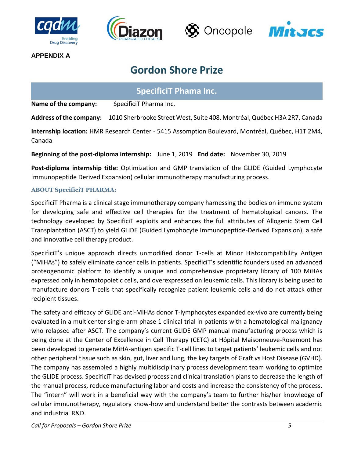







**APPENDIX A**

# **Gordon Shore Prize**

# **SpecificiT Phama Inc.**

**Name of the company:** SpecificiT Pharma Inc.

**Address of the company:** 1010 Sherbrooke Street West, Suite 408, Montréal, Québec H3A 2R7, Canada

**Internship location:** HMR Research Center - 5415 Assomption Boulevard, Montréal, Québec, H1T 2M4, Canada

**Beginning of the post-diploma internship:** June 1, 2019 **End date:** November 30, 2019

**Post-diploma internship title:** Optimization and GMP translation of the GLIDE (Guided Lymphocyte Immunopeptide Derived Expansion) cellular immunotherapy manufacturing process.

## **ABOUT SpecificiT PHARMA:**

SpecificiT Pharma is a clinical stage immunotherapy company harnessing the bodies on immune system for developing safe and effective cell therapies for the treatment of hematological cancers. The technology developed by SpecificiT exploits and enhances the full attributes of Allogenic Stem Cell Transplantation (ASCT) to yield GLIDE (Guided Lymphocyte Immunopeptide-Derived Expansion), a safe and innovative cell therapy product.

SpecificiT's unique approach directs unmodified donor T-cells at Minor Histocompatibility Antigen ("MiHAs") to safely eliminate cancer cells in patients. SpecificiT's scientific founders used an advanced proteogenomic platform to identify a unique and comprehensive proprietary library of 100 MiHAs expressed only in hematopoietic cells, and overexpressed on leukemic cells. This library is being used to manufacture donors T-cells that specifically recognize patient leukemic cells and do not attack other recipient tissues.

The safety and efficacy of GLIDE anti-MiHAs donor T-lymphocytes expanded ex-vivo are currently being evaluated in a multicenter single-arm phase 1 clinical trial in patients with a hematological malignancy who relapsed after ASCT. The company's current GLIDE GMP manual manufacturing process which is being done at the Center of Excellence in Cell Therapy (CETC) at Hôpital Maisonneuve-Rosemont has been developed to generate MiHA-antigen specific T-cell lines to target patients' leukemic cells and not other peripheral tissue such as skin, gut, liver and lung, the key targets of Graft vs Host Disease (GVHD). The company has assembled a highly multidisciplinary process development team working to optimize the GLIDE process. SpecificiT has devised process and clinical translation plans to decrease the length of the manual process, reduce manufacturing labor and costs and increase the consistency of the process. The "intern" will work in a beneficial way with the company's team to further his/her knowledge of cellular immunotherapy, regulatory know-how and understand better the contrasts between academic and industrial R&D.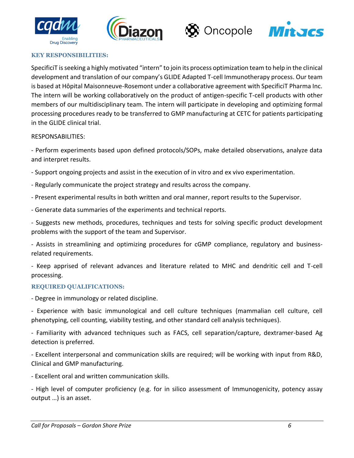







#### **KEY RESPONSIBILITIES:**

SpecificiT is seeking a highly motivated "intern" to join its process optimization team to help in the clinical development and translation of our company's GLIDE Adapted T-cell Immunotherapy process. Our team is based at Hôpital Maisonneuve-Rosemont under a collaborative agreement with SpecificiT Pharma Inc. The intern will be working collaboratively on the product of antigen-specific T-cell products with other members of our multidisciplinary team. The intern will participate in developing and optimizing formal processing procedures ready to be transferred to GMP manufacturing at CETC for patients participating in the GLIDE clinical trial.

#### RESPONSABILITIES:

- Perform experiments based upon defined protocols/SOPs, make detailed observations, analyze data and interpret results.

- Support ongoing projects and assist in the execution of in vitro and ex vivo experimentation.
- Regularly communicate the project strategy and results across the company.
- Present experimental results in both written and oral manner, report results to the Supervisor.
- Generate data summaries of the experiments and technical reports.

- Suggests new methods, procedures, techniques and tests for solving specific product development problems with the support of the team and Supervisor.

- Assists in streamlining and optimizing procedures for cGMP compliance, regulatory and businessrelated requirements.

- Keep apprised of relevant advances and literature related to MHC and dendritic cell and T-cell processing.

#### **REQUIRED QUALIFICATIONS:**

- Degree in immunology or related discipline.

- Experience with basic immunological and cell culture techniques (mammalian cell culture, cell phenotyping, cell counting, viability testing, and other standard cell analysis techniques).

- Familiarity with advanced techniques such as FACS, cell separation/capture, dextramer-based Ag detection is preferred.

- Excellent interpersonal and communication skills are required; will be working with input from R&D, Clinical and GMP manufacturing.

- Excellent oral and written communication skills.

- High level of computer proficiency (e.g. for in silico assessment of Immunogenicity, potency assay output …) is an asset.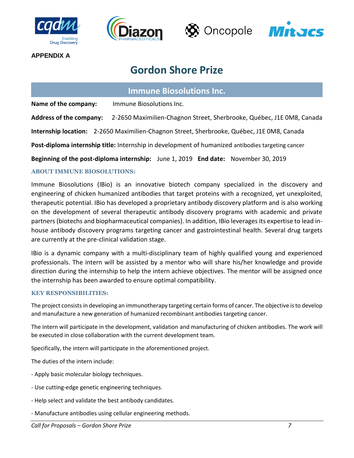







**APPENDIX A**

# **Gordon Shore Prize**

# **Immune Biosolutions Inc.**

**Name of the company:** Immune Biosolutions Inc.

**Address of the company:** 2-2650 Maximilien-Chagnon Street, Sherbrooke, Québec, J1E 0M8, Canada

**Internship location:** 2-2650 Maximilien-Chagnon Street, Sherbrooke, Québec, J1E 0M8, Canada

**Post-diploma internship title:** Internship in development of humanized antibodies targeting cancer

**Beginning of the post-diploma internship:** June 1, 2019 **End date:** November 30, 2019

### **ABOUT IMMUNE BIOSOLUTIONS:**

Immune Biosolutions (IBio) is an innovative biotech company specialized in the discovery and engineering of chicken humanized antibodies that target proteins with a recognized, yet unexploited, therapeutic potential. IBio has developed a proprietary antibody discovery platform and is also working on the development of several therapeutic antibody discovery programs with academic and private partners (biotechs and biopharmaceutical companies). In addition, IBio leverages its expertise to lead inhouse antibody discovery programs targeting cancer and gastrointestinal health. Several drug targets are currently at the pre-clinical validation stage.

IBio is a dynamic company with a multi-disciplinary team of highly qualified young and experienced professionals. The intern will be assisted by a mentor who will share his/her knowledge and provide direction during the internship to help the intern achieve objectives. The mentor will be assigned once the internship has been awarded to ensure optimal compatibility.

#### **KEY RESPONSIBILITIES:**

The project consists in developing an immunotherapy targeting certain forms of cancer. The objective is to develop and manufacture a new generation of humanized recombinant antibodies targeting cancer.

The intern will participate in the development, validation and manufacturing of chicken antibodies. The work will be executed in close collaboration with the current development team.

Specifically, the intern will participate in the aforementioned project.

The duties of the intern include:

- Apply basic molecular biology techniques.
- Use cutting-edge genetic engineering techniques.
- Help select and validate the best antibody candidates.
- Manufacture antibodies using cellular engineering methods.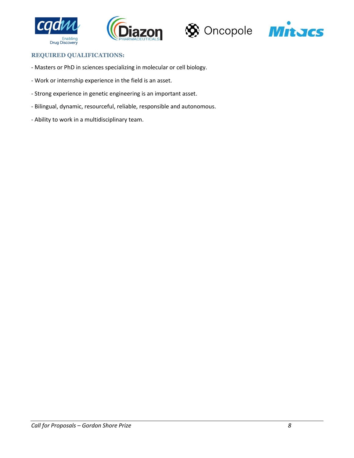







#### **REQUIRED QUALIFICATIONS:**

- Masters or PhD in sciences specializing in molecular or cell biology.
- Work or internship experience in the field is an asset.
- Strong experience in genetic engineering is an important asset.
- Bilingual, dynamic, resourceful, reliable, responsible and autonomous.
- Ability to work in a multidisciplinary team.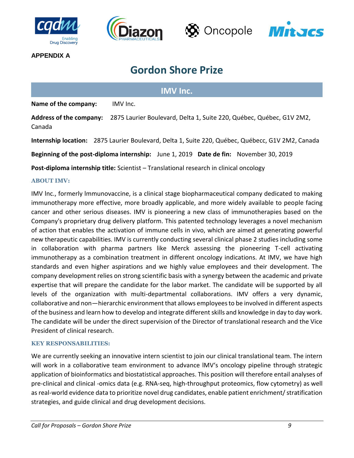







**APPENDIX A**

# **Gordon Shore Prize**

# **IMV Inc.**

**Name of the company:** IMV Inc.

**Address of the company:** 2875 Laurier Boulevard, Delta 1, Suite 220, Québec, Québec, G1V 2M2, Canada

**Internship location:** 2875 Laurier Boulevard, Delta 1, Suite 220, Québec, Québecc, G1V 2M2, Canada

**Beginning of the post-diploma internship:** June 1, 2019 **Date de fin:** November 30, 2019

**Post-diploma internship title:** Scientist – Translational research in clinical oncology

### **ABOUT IMV:**

IMV lnc., formerly lmmunovaccine, is a clinical stage biopharmaceutical company dedicated to making immunotherapy more effective, more broadly applicable, and more widely available to people facing cancer and other serious diseases. IMV is pioneering a new class of immunotherapies based on the Company's proprietary drug delivery platform. This patented technology leverages a novel mechanism of action that enables the activation of immune cells in vivo, which are aimed at generating powerful new therapeutic capabilities. IMV is currently conducting several clinical phase 2 studies including some in collaboration with pharma partners like Merck assessing the pioneering T-cell activating immunotherapy as a combination treatment in different oncology indications. At IMV, we have high standards and even higher aspirations and we highly value employees and their development. The company development relies on strong scientific basis with a synergy between the academic and private expertise that will prepare the candidate for the labor market. The candidate will be supported by all levels of the organization with multi-departmental collaborations. IMV offers a very dynamic, collaborative and non—hierarchic environment that allows employees to be involved in different aspects of the business and learn how to develop and integrate different skills and knowledge in day to day work. The candidate will be under the direct supervision of the Director of translational research and the Vice President of clinical research.

#### **KEY RESPONSABILITIES:**

We are currently seeking an innovative intern scientist to join our clinical translational team. The intern will work in a collaborative team environment to advance IMV's oncology pipeline through strategic application of bioinformatics and biostatistical approaches. This position will therefore entail analyses of pre-clinical and clinical -omics data (e.g. RNA-seq, high-throughput proteomics, flow cytometry) as well as real-world evidence data to prioritize novel drug candidates, enable patient enrichment/ stratification strategies, and guide clinical and drug development decisions.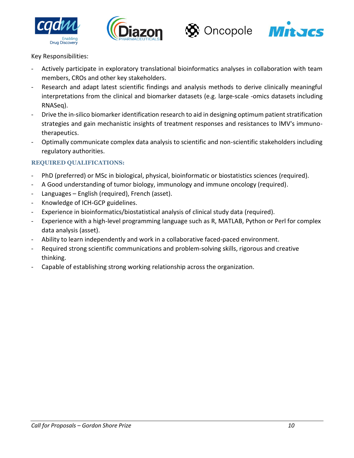







## Key Responsibilities:

- Actively participate in exploratory translational bioinformatics analyses in collaboration with team members, CROs and other key stakeholders.
- Research and adapt latest scientific findings and analysis methods to derive clinically meaningful interpretations from the clinical and biomarker datasets (e.g. large-scale -omics datasets including RNASeq).
- Drive the in-silico biomarker identification research to aid in designing optimum patient stratification strategies and gain mechanistic insights of treatment responses and resistances to lMV's immunotherapeutics.
- Optimally communicate complex data analysis to scientific and non-scientific stakeholders including regulatory authorities.

## **REQUIRED QUALIFICATIONS:**

- PhD (preferred) or MSc in biological, physical, bioinformatic or biostatistics sciences (required).
- A Good understanding of tumor biology, immunology and immune oncology (required).
- Languages English (required), French (asset).
- Knowledge of ICH-GCP guidelines.
- Experience in bioinformatics/biostatistical analysis of clinical study data (required).
- Experience with a high-level programming language such as R, MATLAB, Python or Perl for complex data analysis (asset).
- Ability to learn independently and work in a collaborative faced-paced environment.
- Required strong scientific communications and problem-solving skills, rigorous and creative thinking.
- Capable of establishing strong working relationship across the organization.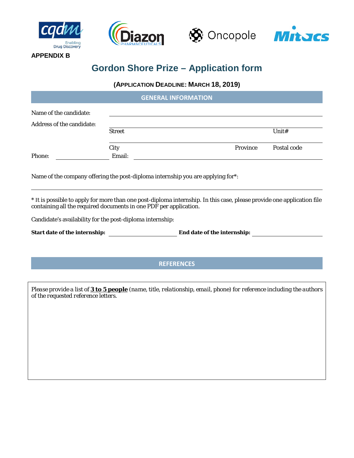

**APPENDIX B**







# **Gordon Shore Prize – Application form**

### **(APPLICATION DEADLINE: MARCH 18, 2019)**

|                           |               | <b>GENERAL INFORMATION</b> |          |             |
|---------------------------|---------------|----------------------------|----------|-------------|
| Name of the candidate:    |               |                            |          |             |
| Address of the candidate: |               |                            |          |             |
|                           | <b>Street</b> |                            |          | Unit#       |
|                           | City          |                            | Province | Postal code |
| Phone:                    | Email:        |                            |          |             |

Name of the company offering the post-diploma internship you are applying for\*:

\* It is possible to apply for more than one post-diploma internship. In this case, please provide one application file containing all the required documents in one PDF per application.

Candidate's availability for the post-diploma internship:

| <b>Start date of the internship:</b> |
|--------------------------------------|
|--------------------------------------|

**Start date of the internship: End date of the internship:** 

## **REFERENCES**

*Please provide a list of 3 to 5 people (name, title, relationship, email, phone) for reference including the authors of the requested reference letters.*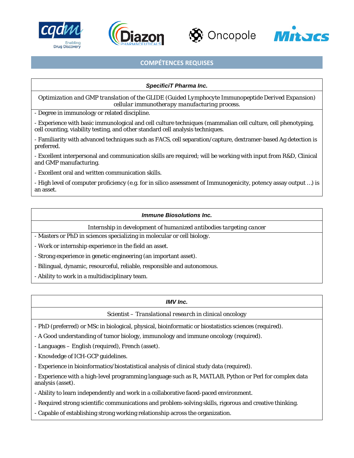







### **COMPÉTENCES REQUISES**

#### *SpecificiT Pharma Inc.*

*Optimization and GMP translation of the GLIDE (Guided Lymphocyte Immunopeptide Derived Expansion) cellular immunotherapy manufacturing process.*

- Degree in immunology or related discipline.

- Experience with basic immunological and cell culture techniques (mammalian cell culture, cell phenotyping, cell counting, viability testing, and other standard cell analysis techniques.

- Familiarity with advanced techniques such as FACS, cell separation/capture, dextramer-based Ag detection is preferred.

- Excellent interpersonal and communication skills are required; will be working with input from R&D, Clinical and GMP manufacturing.

- Excellent oral and written communication skills.

- High level of computer proficiency (e.g. for in silico assessment of Immunogenicity, potency assay output …) is an asset.

#### *Immune Biosolutions Inc.*

*Internship in development of humanized antibodies targeting cancer*

- Masters or PhD in sciences specializing in molecular or cell biology.

- Work or internship experience in the field an asset.

- Strong experience in genetic engineering (an important asset).

- Bilingual, dynamic, resourceful, reliable, responsible and autonomous.

- Ability to work in a multidisciplinary team.

#### *IMV Inc.*

*Scientist – Translational research in clinical oncology*

- PhD (preferred) or MSc in biological, physical, bioinformatic or biostatistics sciences (required).

- A Good understanding of tumor biology, immunology and immune oncology (required).

- Languages – English (required), French (asset).

- Knowledge of ICH-GCP guidelines.

- Experience in bioinformatics/biostatistical analysis of clinical study data (required).

- Experience with a high-level programming language such as R, MATLAB, Python or Perl for complex data analysis (asset).

- Ability to learn independently and work in a collaborative faced-paced environment.

- Required strong scientific communications and problem-solving skills, rigorous and creative thinking.

- Capable of establishing strong working relationship across the organization.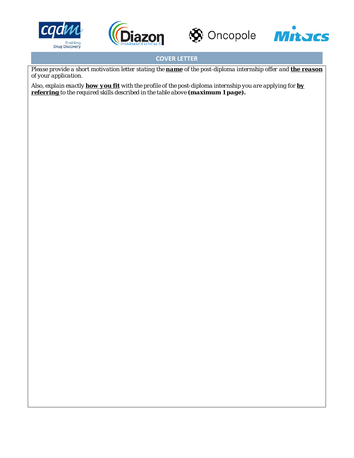







# **COVER LETTER**

*Please provide a short motivation letter stating the name of the post-diploma internship offer and the reason of your application.*

*Also, explain exactly how you fit with the profile of the post-diploma internship you are applying for by referring to the required skills described in the table above (maximum 1 page).*